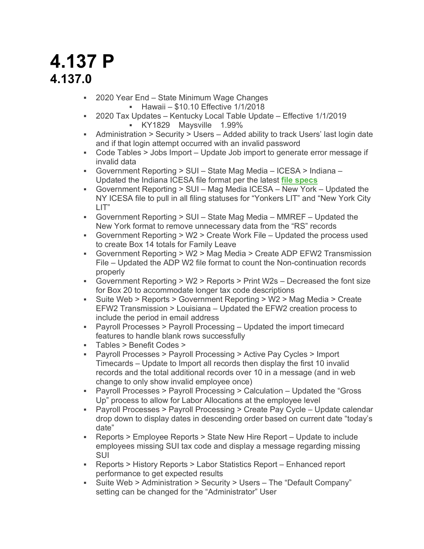## **4.137 P 4.137.0**

- § 2020 Year End State Minimum Wage Changes
	- § Hawaii \$10.10 Effective 1/1/2018
- § 2020 Tax Updates Kentucky Local Table Update Effective 1/1/2019 § KY1829 Maysville 1.99%
- § Administration > Security > Users Added ability to track Users' last login date and if that login attempt occurred with an invalid password
- Code Tables > Jobs Import Update Job import to generate error message if invalid data
- § Government Reporting > SUI State Mag Media ICESA > Indiana Updated the Indiana ICESA file format per the latest **file specs**
- § Government Reporting > SUI Mag Media ICESA New York Updated the NY ICESA file to pull in all filing statuses for "Yonkers LIT" and "New York City LIT"
- § Government Reporting > SUI State Mag Media MMREF Updated the New York format to remove unnecessary data from the "RS" records
- § Government Reporting > W2 > Create Work File Updated the process used to create Box 14 totals for Family Leave
- § Government Reporting > W2 > Mag Media > Create ADP EFW2 Transmission File – Updated the ADP W2 file format to count the Non-continuation records properly
- § Government Reporting > W2 > Reports > Print W2s Decreased the font size for Box 20 to accommodate longer tax code descriptions
- § Suite Web > Reports > Government Reporting > W2 > Mag Media > Create EFW2 Transmission > Louisiana – Updated the EFW2 creation process to include the period in email address
- § Payroll Processes > Payroll Processing Updated the import timecard features to handle blank rows successfully
- § Tables > Benefit Codes >
- § Payroll Processes > Payroll Processing > Active Pay Cycles > Import Timecards – Update to Import all records then display the first 10 invalid records and the total additional records over 10 in a message (and in web change to only show invalid employee once)
- § Payroll Processes > Payroll Processing > Calculation Updated the "Gross Up" process to allow for Labor Allocations at the employee level
- § Payroll Processes > Payroll Processing > Create Pay Cycle Update calendar drop down to display dates in descending order based on current date "today's date"
- § Reports > Employee Reports > State New Hire Report Update to include employees missing SUI tax code and display a message regarding missing SUI
- § Reports > History Reports > Labor Statistics Report Enhanced report performance to get expected results
- § Suite Web > Administration > Security > Users The "Default Company" setting can be changed for the "Administrator" User